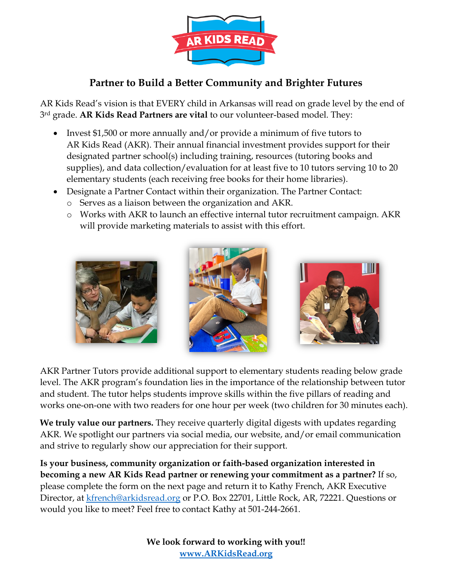

## **Partner to Build a Better Community and Brighter Futures**

AR Kids Read's vision is that EVERY child in Arkansas will read on grade level by the end of 3rd grade. **AR Kids Read Partners are vital** to our volunteer-based model. They:

- Invest \$1,500 or more annually and/or provide a minimum of five tutors to AR Kids Read (AKR). Their annual financial investment provides support for their designated partner school(s) including training, resources (tutoring books and supplies), and data collection/evaluation for at least five to 10 tutors serving 10 to 20 elementary students (each receiving free books for their home libraries).
- Designate a Partner Contact within their organization. The Partner Contact:
	- o Serves as a liaison between the organization and AKR.
	- o Works with AKR to launch an effective internal tutor recruitment campaign. AKR will provide marketing materials to assist with this effort.



AKR Partner Tutors provide additional support to elementary students reading below grade level. The AKR program's foundation lies in the importance of the relationship between tutor and student. The tutor helps students improve skills within the five pillars of reading and works one-on-one with two readers for one hour per week (two children for 30 minutes each).

**We truly value our partners.** They receive quarterly digital digests with updates regarding AKR. We spotlight our partners via social media, our website, and/or email communication and strive to regularly show our appreciation for their support.

**Is your business, community organization or faith-based organization interested in becoming a new AR Kids Read partner or renewing your commitment as a partner?** If so, please complete the form on the next page and return it to Kathy French, AKR Executive Director, at **kfrench@arkidsread.org or P.O. Box 22701**, Little Rock, AR, 72221. Questions or would you like to meet? Feel free to contact Kathy at 501-244-2661.

> **We look forward to working with you!! www.ARKidsRead.org**